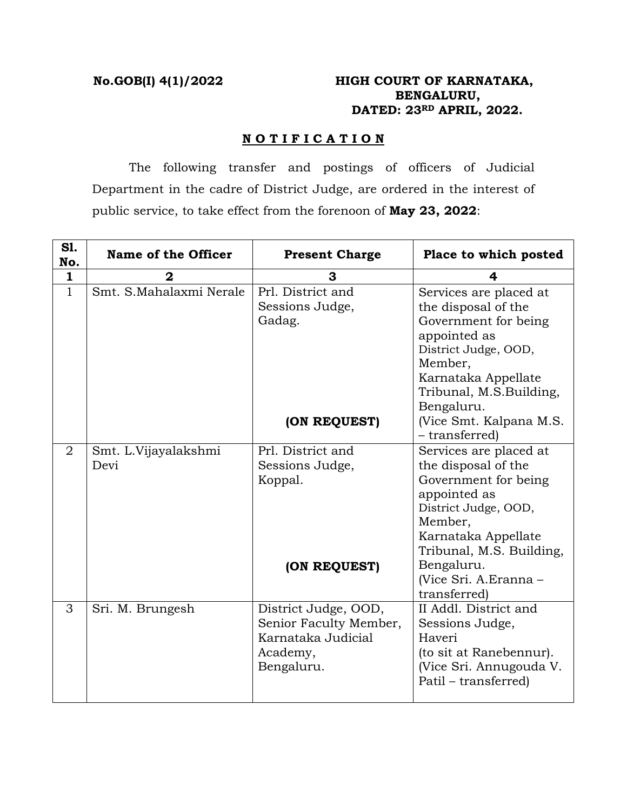# **No.GOB(I) 4(1)/2022 HIGH COURT OF KARNATAKA, BENGALURU, DATED: 23RD APRIL, 2022.**

## **N O T I F I C A T I O N**

 The following transfer and postings of officers of Judicial Department in the cadre of District Judge, are ordered in the interest of public service, to take effect from the forenoon of **May 23, 2022**:

| S1.<br>No.     | Name of the Officer          | <b>Present Charge</b>                                                                          | Place to which posted                                                                                                                                                                                                              |
|----------------|------------------------------|------------------------------------------------------------------------------------------------|------------------------------------------------------------------------------------------------------------------------------------------------------------------------------------------------------------------------------------|
| $\mathbf{1}$   |                              | 3                                                                                              | 4                                                                                                                                                                                                                                  |
| $\mathbf{1}$   | Smt. S.Mahalaxmi Nerale      | Prl. District and<br>Sessions Judge,<br>Gadag.                                                 | Services are placed at<br>the disposal of the<br>Government for being<br>appointed as<br>District Judge, OOD,<br>Member,<br>Karnataka Appellate<br>Tribunal, M.S.Building,<br>Bengaluru.                                           |
|                |                              | (ON REQUEST)                                                                                   | (Vice Smt. Kalpana M.S.<br>- transferred)                                                                                                                                                                                          |
| $\overline{2}$ | Smt. L.Vijayalakshmi<br>Devi | Prl. District and<br>Sessions Judge,<br>Koppal.<br>(ON REQUEST)                                | Services are placed at<br>the disposal of the<br>Government for being<br>appointed as<br>District Judge, OOD,<br>Member,<br>Karnataka Appellate<br>Tribunal, M.S. Building,<br>Bengaluru.<br>(Vice Sri. A.Eranna -<br>transferred) |
| 3              | Sri. M. Brungesh             | District Judge, OOD,<br>Senior Faculty Member,<br>Karnataka Judicial<br>Academy,<br>Bengaluru. | II Addl. District and<br>Sessions Judge,<br>Haveri<br>(to sit at Ranebennur).<br>(Vice Sri. Annugouda V.<br>Patil – transferred)                                                                                                   |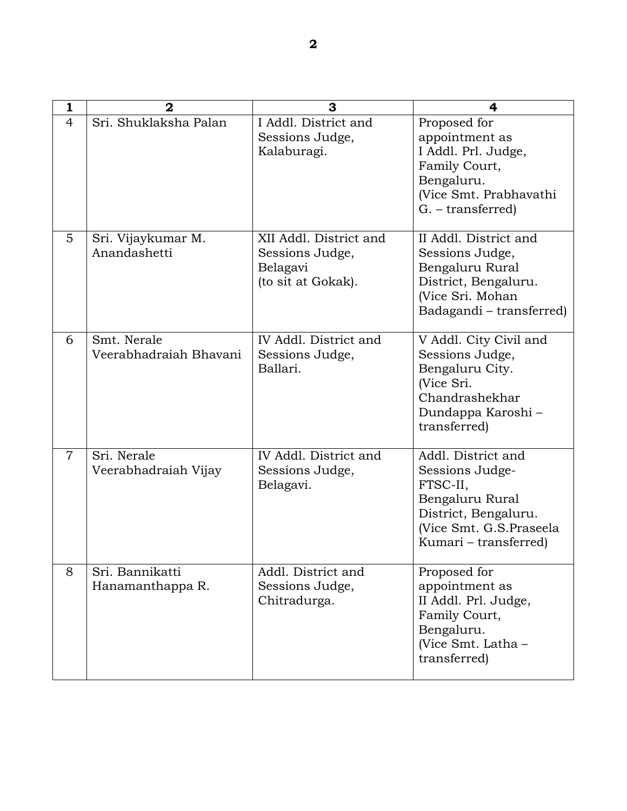| 1              | $\overline{2}$                        | 3                                                                           | 4                                                                                                                                                |
|----------------|---------------------------------------|-----------------------------------------------------------------------------|--------------------------------------------------------------------------------------------------------------------------------------------------|
| 4              | Sri. Shuklaksha Palan                 | I Addl. District and<br>Sessions Judge,<br>Kalaburagi.                      | Proposed for<br>appointment as<br>I Addl. Prl. Judge,<br>Family Court,<br>Bengaluru.<br>(Vice Smt. Prabhavathi<br>$G. - transferred$             |
| 5              | Sri. Vijaykumar M.<br>Anandashetti    | XII Addl. District and<br>Sessions Judge,<br>Belagavi<br>(to sit at Gokak). | II Addl. District and<br>Sessions Judge,<br>Bengaluru Rural<br>District, Bengaluru.<br>(Vice Sri. Mohan<br>Badagandi – transferred)              |
| 6              | Smt. Nerale<br>Veerabhadraiah Bhavani | IV Addl. District and<br>Sessions Judge,<br>Ballari.                        | V Addl. City Civil and<br>Sessions Judge,<br>Bengaluru City.<br>(Vice Sri.<br>Chandrashekhar<br>Dundappa Karoshi-<br>transferred)                |
| $\overline{7}$ | Sri. Nerale<br>Veerabhadraiah Vijay   | IV Addl. District and<br>Sessions Judge,<br>Belagavi.                       | Addl. District and<br>Sessions Judge-<br>FTSC-II,<br>Bengaluru Rural<br>District, Bengaluru.<br>(Vice Smt. G.S.Praseela<br>Kumari – transferred) |
| 8              | Sri. Bannikatti<br>Hanamanthappa R.   | Addl. District and<br>Sessions Judge,<br>Chitradurga.                       | Proposed for<br>appointment as<br>II Addl. Prl. Judge,<br>Family Court,<br>Bengaluru.<br>(Vice Smt. Latha -<br>transferred)                      |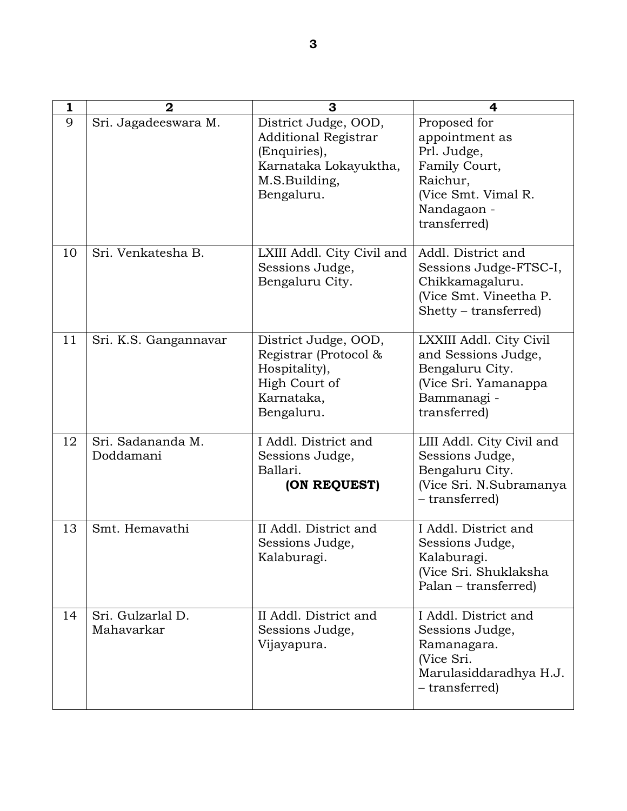| 1  | $\mathbf 2$                     | 3                                                                                                                           | 4                                                                                                                                |
|----|---------------------------------|-----------------------------------------------------------------------------------------------------------------------------|----------------------------------------------------------------------------------------------------------------------------------|
| 9  | Sri. Jagadeeswara M.            | District Judge, OOD,<br><b>Additional Registrar</b><br>(Enquiries),<br>Karnataka Lokayuktha,<br>M.S.Building,<br>Bengaluru. | Proposed for<br>appointment as<br>Prl. Judge,<br>Family Court,<br>Raichur,<br>(Vice Smt. Vimal R.<br>Nandagaon -<br>transferred) |
| 10 | Sri. Venkatesha B.              | LXIII Addl. City Civil and<br>Sessions Judge,<br>Bengaluru City.                                                            | Addl. District and<br>Sessions Judge-FTSC-I,<br>Chikkamagaluru.<br>(Vice Smt. Vineetha P.<br>Shetty – transferred)               |
| 11 | Sri. K.S. Gangannavar           | District Judge, OOD,<br>Registrar (Protocol &<br>Hospitality),<br>High Court of<br>Karnataka,<br>Bengaluru.                 | LXXIII Addl. City Civil<br>and Sessions Judge,<br>Bengaluru City.<br>(Vice Sri. Yamanappa<br>Bammanagi -<br>transferred)         |
| 12 | Sri. Sadananda M.<br>Doddamani  | I Addl. District and<br>Sessions Judge,<br>Ballari.<br>(ON REQUEST)                                                         | LIII Addl. City Civil and<br>Sessions Judge,<br>Bengaluru City.<br>(Vice Sri. N.Subramanya<br>- transferred)                     |
| 13 | Smt. Hemavathi                  | II Addl. District and<br>Sessions Judge,<br>Kalaburagi.                                                                     | I Addl. District and<br>Sessions Judge,<br>Kalaburagi.<br>(Vice Sri. Shuklaksha<br>Palan – transferred)                          |
| 14 | Sri. Gulzarlal D.<br>Mahavarkar | II Addl. District and<br>Sessions Judge,<br>Vijayapura.                                                                     | I Addl. District and<br>Sessions Judge,<br>Ramanagara.<br>(Vice Sri.<br>Marulasiddaradhya H.J.<br>- transferred)                 |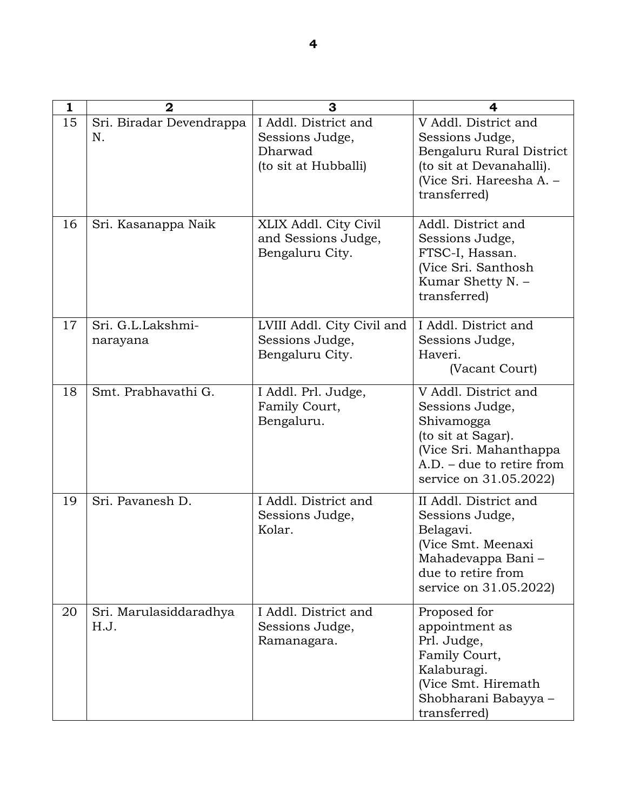| 1  | $\overline{2}$                 | 3                                                                          | 4                                                                                                                                                              |
|----|--------------------------------|----------------------------------------------------------------------------|----------------------------------------------------------------------------------------------------------------------------------------------------------------|
| 15 | Sri. Biradar Devendrappa<br>N. | I Addl. District and<br>Sessions Judge,<br>Dharwad<br>(to sit at Hubballi) | V Addl. District and<br>Sessions Judge,<br>Bengaluru Rural District<br>(to sit at Devanahalli).<br>(Vice Sri. Hareesha A. -<br>transferred)                    |
| 16 | Sri. Kasanappa Naik            | XLIX Addl. City Civil<br>and Sessions Judge,<br>Bengaluru City.            | Addl. District and<br>Sessions Judge,<br>FTSC-I, Hassan.<br>(Vice Sri. Santhosh<br>Kumar Shetty N. -<br>transferred)                                           |
| 17 | Sri. G.L.Lakshmi-<br>narayana  | LVIII Addl. City Civil and<br>Sessions Judge,<br>Bengaluru City.           | I Addl. District and<br>Sessions Judge,<br>Haveri.<br>(Vacant Court)                                                                                           |
| 18 | Smt. Prabhavathi G.            | I Addl. Prl. Judge,<br>Family Court,<br>Bengaluru.                         | V Addl. District and<br>Sessions Judge,<br>Shivamogga<br>(to sit at Sagar).<br>(Vice Sri. Mahanthappa<br>$A.D. - due to retire from$<br>service on 31.05.2022) |
| 19 | Sri. Pavanesh D.               | I Addl. District and<br>Sessions Judge,<br>Kolar.                          | II Addl. District and<br>Sessions Judge,<br>Belagavi.<br>(Vice Smt. Meenaxi<br>Mahadevappa Bani -<br>due to retire from<br>service on 31.05.2022)              |
| 20 | Sri. Marulasiddaradhya<br>H.J. | I Addl. District and<br>Sessions Judge,<br>Ramanagara.                     | Proposed for<br>appointment as<br>Prl. Judge,<br>Family Court,<br>Kalaburagi.<br>(Vice Smt. Hiremath<br>Shobharani Babayya -<br>transferred)                   |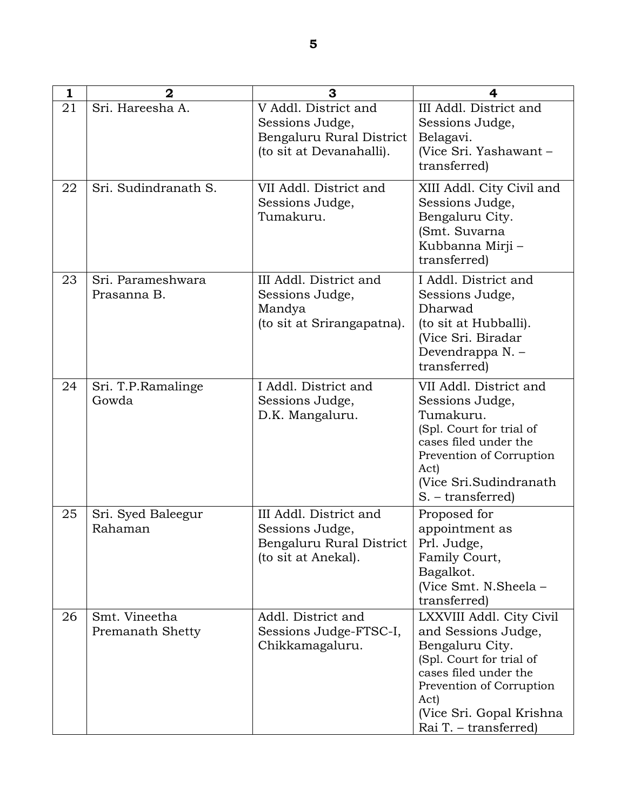| 1  | $\overline{2}$                    | 3                                                                                               | 4                                                                                                                                                                                                                |
|----|-----------------------------------|-------------------------------------------------------------------------------------------------|------------------------------------------------------------------------------------------------------------------------------------------------------------------------------------------------------------------|
| 21 | Sri. Hareesha A.                  | V Addl. District and<br>Sessions Judge,<br>Bengaluru Rural District<br>(to sit at Devanahalli). | III Addl. District and<br>Sessions Judge,<br>Belagavi.<br>(Vice Sri. Yashawant -<br>transferred)                                                                                                                 |
| 22 | Sri. Sudindranath S.              | VII Addl. District and<br>Sessions Judge,<br>Tumakuru.                                          | XIII Addl. City Civil and<br>Sessions Judge,<br>Bengaluru City.<br>(Smt. Suvarna<br>Kubbanna Mirji -<br>transferred)                                                                                             |
| 23 | Sri. Parameshwara<br>Prasanna B.  | III Addl. District and<br>Sessions Judge,<br>Mandya<br>(to sit at Srirangapatna).               | I Addl. District and<br>Sessions Judge,<br>Dharwad<br>(to sit at Hubballi).<br>(Vice Sri. Biradar<br>Devendrappa N. -<br>transferred)                                                                            |
| 24 | Sri. T.P.Ramalinge<br>Gowda       | I Addl. District and<br>Sessions Judge,<br>D.K. Mangaluru.                                      | VII Addl. District and<br>Sessions Judge,<br>Tumakuru.<br>(Spl. Court for trial of<br>cases filed under the<br>Prevention of Corruption<br>Act)<br>(Vice Sri.Sudindranath)<br>S. – transferred)                  |
| 25 | Sri. Syed Baleegur<br>Rahaman     | III Addl. District and<br>Sessions Judge,<br>Bengaluru Rural District<br>(to sit at Anekal).    | Proposed for<br>appointment as<br>Prl. Judge,<br>Family Court,<br>Bagalkot.<br>(Vice Smt. N.Sheela -<br>transferred)                                                                                             |
| 26 | Smt. Vineetha<br>Premanath Shetty | Addl. District and<br>Sessions Judge-FTSC-I,<br>Chikkamagaluru.                                 | LXXVIII Addl. City Civil<br>and Sessions Judge,<br>Bengaluru City.<br>(Spl. Court for trial of<br>cases filed under the<br>Prevention of Corruption<br>Act)<br>(Vice Sri. Gopal Krishna<br>Rai T. – transferred) |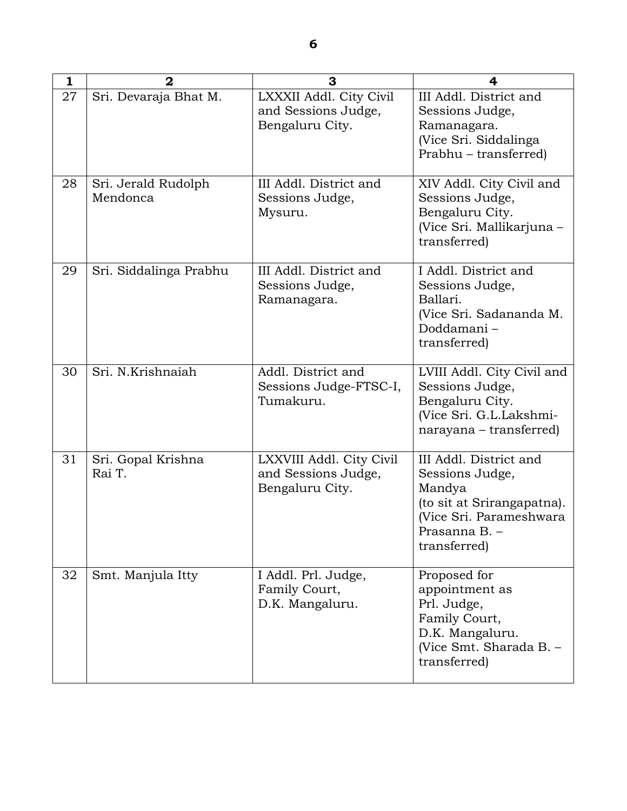| 1  | $\overline{2}$                  | 3                                                                  | 4                                                                                                                                            |
|----|---------------------------------|--------------------------------------------------------------------|----------------------------------------------------------------------------------------------------------------------------------------------|
| 27 | Sri. Devaraja Bhat M.           | LXXXII Addl. City Civil<br>and Sessions Judge,<br>Bengaluru City.  | III Addl. District and<br>Sessions Judge,<br>Ramanagara.<br>(Vice Sri. Siddalinga<br>Prabhu - transferred)                                   |
| 28 | Sri. Jerald Rudolph<br>Mendonca | III Addl. District and<br>Sessions Judge,<br>Mysuru.               | XIV Addl. City Civil and<br>Sessions Judge,<br>Bengaluru City.<br>(Vice Sri. Mallikarjuna -<br>transferred)                                  |
| 29 | Sri. Siddalinga Prabhu          | III Addl. District and<br>Sessions Judge,<br>Ramanagara.           | I Addl. District and<br>Sessions Judge,<br>Ballari.<br>(Vice Sri. Sadananda M.<br>Doddamani-<br>transferred)                                 |
| 30 | Sri. N.Krishnaiah               | Addl. District and<br>Sessions Judge-FTSC-I,<br>Tumakuru.          | LVIII Addl. City Civil and<br>Sessions Judge,<br>Bengaluru City.<br>(Vice Sri. G.L.Lakshmi-<br>narayana – transferred)                       |
| 31 | Sri. Gopal Krishna<br>Rai T.    | LXXVIII Addl. City Civil<br>and Sessions Judge,<br>Bengaluru City. | III Addl. District and<br>Sessions Judge,<br>Mandya<br>(to sit at Srirangapatna).<br>(Vice Sri. Parameshwara<br>Prasanna B.-<br>transferred) |
| 32 | Smt. Manjula Itty               | I Addl. Prl. Judge,<br>Family Court,<br>D.K. Mangaluru.            | Proposed for<br>appointment as<br>Prl. Judge,<br>Family Court,<br>D.K. Mangaluru.<br>(Vice Smt. Sharada B. -<br>transferred)                 |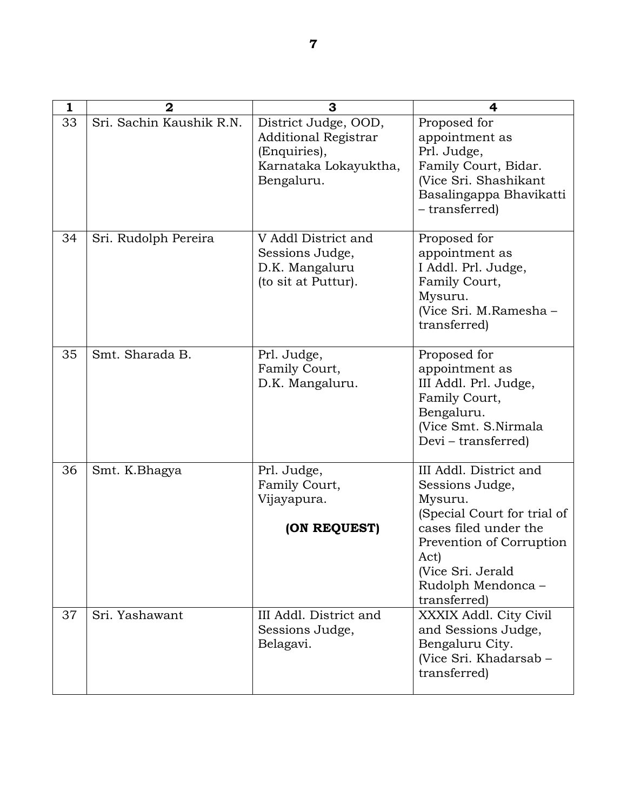| 1  | $\overline{2}$           | 3                                                                                                          | 4                                                                                                                                                                                                           |
|----|--------------------------|------------------------------------------------------------------------------------------------------------|-------------------------------------------------------------------------------------------------------------------------------------------------------------------------------------------------------------|
| 33 | Sri. Sachin Kaushik R.N. | District Judge, OOD,<br><b>Additional Registrar</b><br>(Enquiries),<br>Karnataka Lokayuktha,<br>Bengaluru. | Proposed for<br>appointment as<br>Prl. Judge,<br>Family Court, Bidar.<br>(Vice Sri. Shashikant<br>Basalingappa Bhavikatti<br>- transferred)                                                                 |
| 34 | Sri. Rudolph Pereira     | V Addl District and<br>Sessions Judge,<br>D.K. Mangaluru<br>(to sit at Puttur).                            | Proposed for<br>appointment as<br>I Addl. Prl. Judge,<br>Family Court,<br>Mysuru.<br>(Vice Sri. M.Ramesha -<br>transferred)                                                                                 |
| 35 | Smt. Sharada B.          | Prl. Judge,<br>Family Court,<br>D.K. Mangaluru.                                                            | Proposed for<br>appointment as<br>III Addl. Prl. Judge,<br>Family Court,<br>Bengaluru.<br>(Vice Smt. S.Nirmala<br>Devi – transferred)                                                                       |
| 36 | Smt. K.Bhagya            | Prl. Judge,<br>Family Court,<br>Vijayapura.<br>(ON REQUEST)                                                | III Addl. District and<br>Sessions Judge,<br>Mysuru.<br>(Special Court for trial of<br>cases filed under the<br>Prevention of Corruption<br>Act)<br>(Vice Sri. Jerald<br>Rudolph Mendonca -<br>transferred) |
| 37 | Sri. Yashawant           | III Addl. District and<br>Sessions Judge,<br>Belagavi.                                                     | XXXIX Addl. City Civil<br>and Sessions Judge,<br>Bengaluru City.<br>(Vice Sri. Khadarsab -<br>transferred)                                                                                                  |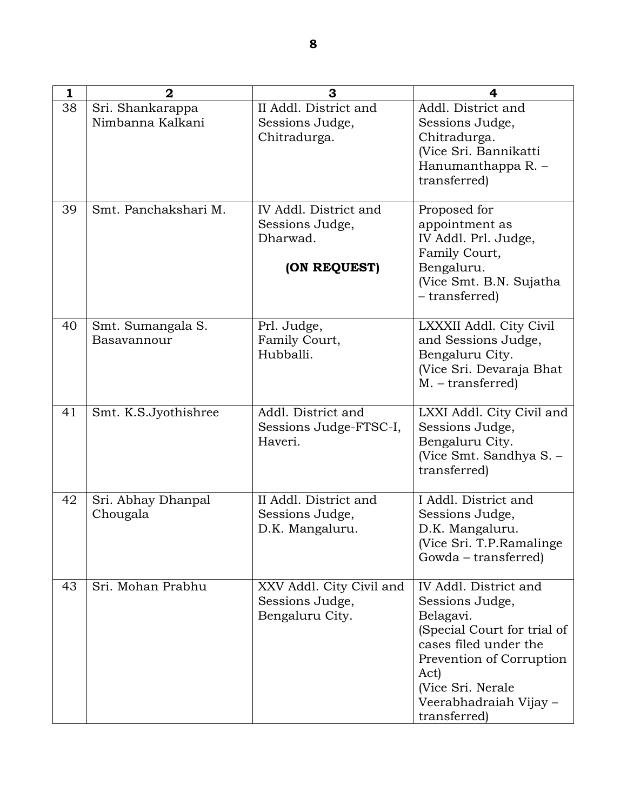| 1  | $\overline{2}$                       | 3                                                              | 4                                                                                                                                                                                                                |
|----|--------------------------------------|----------------------------------------------------------------|------------------------------------------------------------------------------------------------------------------------------------------------------------------------------------------------------------------|
| 38 | Sri. Shankarappa<br>Nimbanna Kalkani | II Addl. District and<br>Sessions Judge,                       | Addl. District and<br>Sessions Judge,                                                                                                                                                                            |
|    |                                      | Chitradurga.                                                   | Chitradurga.<br>(Vice Sri. Bannikatti<br>Hanumanthappa R. -<br>transferred)                                                                                                                                      |
| 39 | Smt. Panchakshari M.                 | IV Addl. District and<br>Sessions Judge,<br>Dharwad.           | Proposed for<br>appointment as<br>IV Addl. Prl. Judge,<br>Family Court,                                                                                                                                          |
|    |                                      | (ON REQUEST)                                                   | Bengaluru.<br>(Vice Smt. B.N. Sujatha<br>- transferred)                                                                                                                                                          |
| 40 | Smt. Sumangala S.<br>Basavannour     | Prl. Judge,<br>Family Court,<br>Hubballi.                      | LXXXII Addl. City Civil<br>and Sessions Judge,<br>Bengaluru City.<br>(Vice Sri. Devaraja Bhat<br>$M. - transferred)$                                                                                             |
| 41 | Smt. K.S.Jyothishree                 | Addl. District and<br>Sessions Judge-FTSC-I,<br>Haveri.        | LXXI Addl. City Civil and<br>Sessions Judge,<br>Bengaluru City.<br>(Vice Smt. Sandhya S. -<br>transferred)                                                                                                       |
| 42 | Sri. Abhay Dhanpal<br>Chougala       | II Addl. District and<br>Sessions Judge,<br>D.K. Mangaluru.    | I Addl. District and<br>Sessions Judge,<br>D.K. Mangaluru.<br>(Vice Sri. T.P.Ramalinge<br>Gowda – transferred)                                                                                                   |
| 43 | Sri. Mohan Prabhu                    | XXV Addl. City Civil and<br>Sessions Judge,<br>Bengaluru City. | IV Addl. District and<br>Sessions Judge,<br>Belagavi.<br>(Special Court for trial of<br>cases filed under the<br>Prevention of Corruption<br>Act)<br>(Vice Sri. Nerale<br>Veerabhadraiah Vijay –<br>transferred) |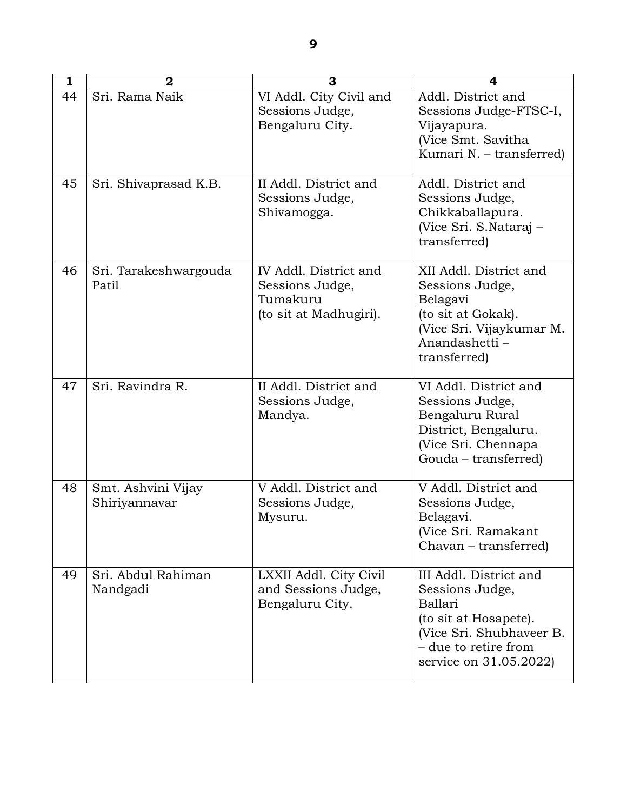| 1  | $\overline{2}$                      | 3                                                                              | 4                                                                                                                                                           |
|----|-------------------------------------|--------------------------------------------------------------------------------|-------------------------------------------------------------------------------------------------------------------------------------------------------------|
| 44 | Sri. Rama Naik                      | VI Addl. City Civil and<br>Sessions Judge,<br>Bengaluru City.                  | Addl. District and<br>Sessions Judge-FTSC-I,<br>Vijayapura.<br>(Vice Smt. Savitha<br>Kumari N. – transferred)                                               |
| 45 | Sri. Shivaprasad K.B.               | II Addl. District and<br>Sessions Judge,<br>Shivamogga.                        | Addl. District and<br>Sessions Judge,<br>Chikkaballapura.<br>(Vice Sri. S.Nataraj -<br>transferred)                                                         |
| 46 | Sri. Tarakeshwargouda<br>Patil      | IV Addl. District and<br>Sessions Judge,<br>Tumakuru<br>(to sit at Madhugiri). | XII Addl. District and<br>Sessions Judge,<br>Belagavi<br>(to sit at Gokak).<br>(Vice Sri. Vijaykumar M.<br>Anandashetti -<br>transferred)                   |
| 47 | Sri. Ravindra R.                    | II Addl. District and<br>Sessions Judge,<br>Mandya.                            | VI Addl. District and<br>Sessions Judge,<br>Bengaluru Rural<br>District, Bengaluru.<br>(Vice Sri. Chennapa<br>Gouda - transferred)                          |
| 48 | Smt. Ashvini Vijay<br>Shiriyannavar | V Addl. District and<br>Sessions Judge,<br>Mysuru.                             | V Addl. District and<br>Sessions Judge,<br>Belagavi.<br>(Vice Sri. Ramakant<br>Chavan – transferred)                                                        |
| 49 | Sri. Abdul Rahiman<br>Nandgadi      | LXXII Addl. City Civil<br>and Sessions Judge,<br>Bengaluru City.               | III Addl. District and<br>Sessions Judge,<br>Ballari<br>(to sit at Hosapete).<br>(Vice Sri. Shubhaveer B.<br>- due to retire from<br>service on 31.05.2022) |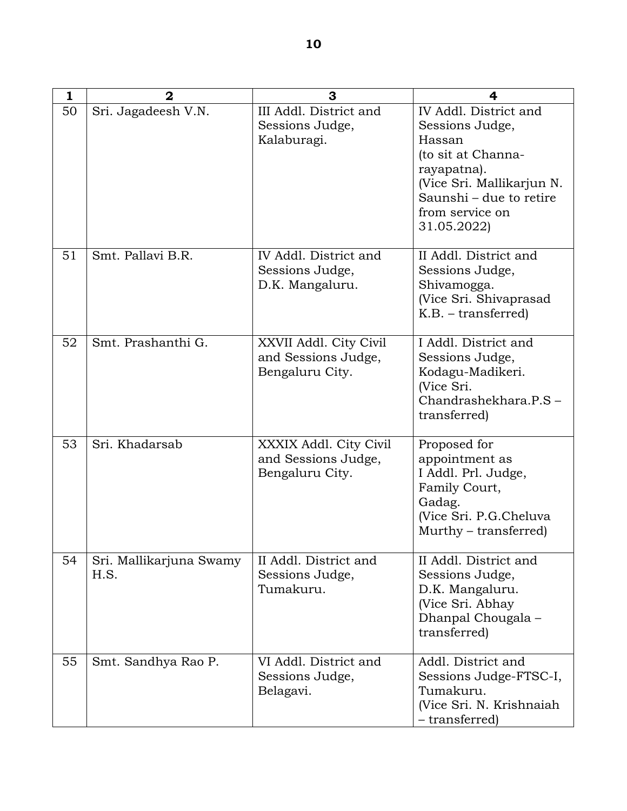| 1  | $\overline{2}$                  | 3                                                                | 4                                                                                                                                                                                 |
|----|---------------------------------|------------------------------------------------------------------|-----------------------------------------------------------------------------------------------------------------------------------------------------------------------------------|
| 50 | Sri. Jagadeesh V.N.             | III Addl. District and<br>Sessions Judge,<br>Kalaburagi.         | IV Addl. District and<br>Sessions Judge,<br>Hassan<br>(to sit at Channa-<br>rayapatna).<br>(Vice Sri. Mallikarjun N.<br>Saunshi – due to retire<br>from service on<br>31.05.2022) |
| 51 | Smt. Pallavi B.R.               | IV Addl. District and<br>Sessions Judge,<br>D.K. Mangaluru.      | II Addl. District and<br>Sessions Judge,<br>Shivamogga.<br>(Vice Sri. Shivaprasad<br>$K.B. - transferred)$                                                                        |
| 52 | Smt. Prashanthi G.              | XXVII Addl. City Civil<br>and Sessions Judge,<br>Bengaluru City. | I Addl. District and<br>Sessions Judge,<br>Kodagu-Madikeri.<br>(Vice Sri.<br>Chandrashekhara.P.S-<br>transferred)                                                                 |
| 53 | Sri. Khadarsab                  | XXXIX Addl. City Civil<br>and Sessions Judge,<br>Bengaluru City. | Proposed for<br>appointment as<br>I Addl. Prl. Judge,<br>Family Court,<br>Gadag.<br>(Vice Sri. P.G.Cheluva<br>Murthy – transferred)                                               |
| 54 | Sri. Mallikarjuna Swamy<br>H.S. | II Addl. District and<br>Sessions Judge,<br>Tumakuru.            | II Addl. District and<br>Sessions Judge,<br>D.K. Mangaluru.<br>(Vice Sri. Abhay)<br>Dhanpal Chougala -<br>transferred)                                                            |
| 55 | Smt. Sandhya Rao P.             | VI Addl. District and<br>Sessions Judge,<br>Belagavi.            | Addl. District and<br>Sessions Judge-FTSC-I,<br>Tumakuru.<br>(Vice Sri. N. Krishnaiah<br>- transferred)                                                                           |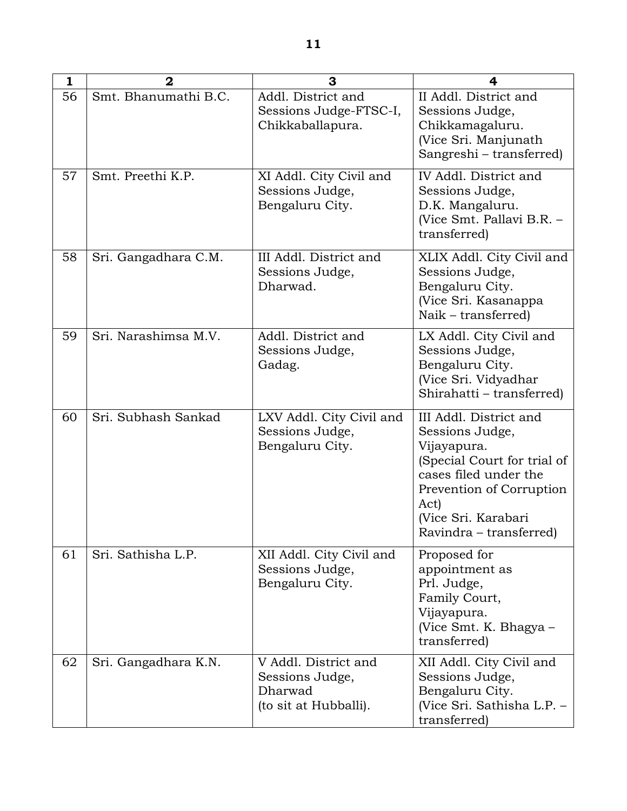| $\mathbf{1}$ | $\overline{2}$       | 3                                                                           | 4                                                                                                                                                                                                      |
|--------------|----------------------|-----------------------------------------------------------------------------|--------------------------------------------------------------------------------------------------------------------------------------------------------------------------------------------------------|
| 56           | Smt. Bhanumathi B.C. | Addl. District and<br>Sessions Judge-FTSC-I,<br>Chikkaballapura.            | II Addl. District and<br>Sessions Judge,<br>Chikkamagaluru.<br>(Vice Sri. Manjunath<br>Sangreshi – transferred)                                                                                        |
| 57           | Smt. Preethi K.P.    | XI Addl. City Civil and<br>Sessions Judge,<br>Bengaluru City.               | IV Addl. District and<br>Sessions Judge,<br>D.K. Mangaluru.<br>(Vice Smt. Pallavi B.R. -<br>transferred)                                                                                               |
| 58           | Sri. Gangadhara C.M. | III Addl. District and<br>Sessions Judge,<br>Dharwad.                       | XLIX Addl. City Civil and<br>Sessions Judge,<br>Bengaluru City.<br>(Vice Sri. Kasanappa<br>Naik – transferred)                                                                                         |
| 59           | Sri. Narashimsa M.V. | Addl. District and<br>Sessions Judge,<br>Gadag.                             | LX Addl. City Civil and<br>Sessions Judge,<br>Bengaluru City.<br>(Vice Sri. Vidyadhar<br>Shirahatti – transferred)                                                                                     |
| 60           | Sri. Subhash Sankad  | LXV Addl. City Civil and<br>Sessions Judge,<br>Bengaluru City.              | III Addl. District and<br>Sessions Judge,<br>Vijayapura.<br>(Special Court for trial of<br>cases filed under the<br>Prevention of Corruption<br>Act)<br>(Vice Sri. Karabari<br>Ravindra – transferred) |
| 61           | Sri. Sathisha L.P.   | XII Addl. City Civil and<br>Sessions Judge,<br>Bengaluru City.              | Proposed for<br>appointment as<br>Prl. Judge,<br>Family Court,<br>Vijayapura.<br>(Vice Smt. K. Bhagya -<br>transferred)                                                                                |
| 62           | Sri. Gangadhara K.N. | V Addl. District and<br>Sessions Judge,<br>Dharwad<br>(to sit at Hubballi). | XII Addl. City Civil and<br>Sessions Judge,<br>Bengaluru City.<br>(Vice Sri. Sathisha L.P. -<br>transferred)                                                                                           |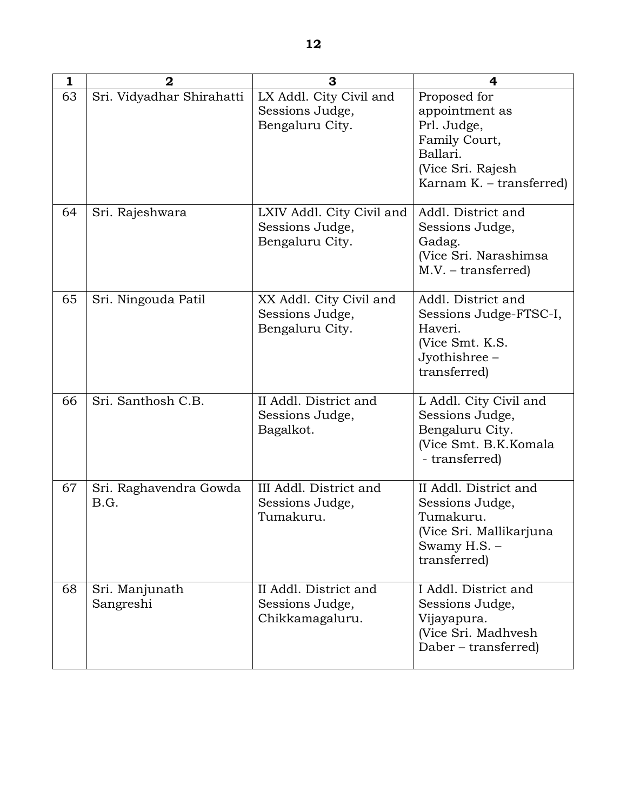| $\mathbf{1}$ | $\mathbf{2}$                   | 3                                                               | 4                                                                                                                           |
|--------------|--------------------------------|-----------------------------------------------------------------|-----------------------------------------------------------------------------------------------------------------------------|
| 63           | Sri. Vidyadhar Shirahatti      | LX Addl. City Civil and<br>Sessions Judge,<br>Bengaluru City.   | Proposed for<br>appointment as<br>Prl. Judge,<br>Family Court,<br>Ballari.<br>(Vice Sri. Rajesh<br>Karnam K. - transferred) |
| 64           | Sri. Rajeshwara                | LXIV Addl. City Civil and<br>Sessions Judge,<br>Bengaluru City. | Addl. District and<br>Sessions Judge,<br>Gadag.<br>(Vice Sri. Narashimsa<br>$M.V. - transferred)$                           |
| 65           | Sri. Ningouda Patil            | XX Addl. City Civil and<br>Sessions Judge,<br>Bengaluru City.   | Addl. District and<br>Sessions Judge-FTSC-I,<br>Haveri.<br>(Vice Smt. K.S.<br>Jyothishree -<br>transferred)                 |
| 66           | Sri. Santhosh C.B.             | II Addl. District and<br>Sessions Judge,<br>Bagalkot.           | L Addl. City Civil and<br>Sessions Judge,<br>Bengaluru City.<br>(Vice Smt. B.K.Komala<br>- transferred)                     |
| 67           | Sri. Raghavendra Gowda<br>B.G. | III Addl. District and<br>Sessions Judge,<br>Tumakuru.          | II Addl. District and<br>Sessions Judge,<br>Tumakuru.<br>(Vice Sri. Mallikarjuna<br>Swamy $H.S.$ –<br>transferred)          |
| 68           | Sri. Manjunath<br>Sangreshi    | II Addl. District and<br>Sessions Judge,<br>Chikkamagaluru.     | I Addl. District and<br>Sessions Judge,<br>Vijayapura.<br>(Vice Sri. Madhvesh<br>Daber – transferred)                       |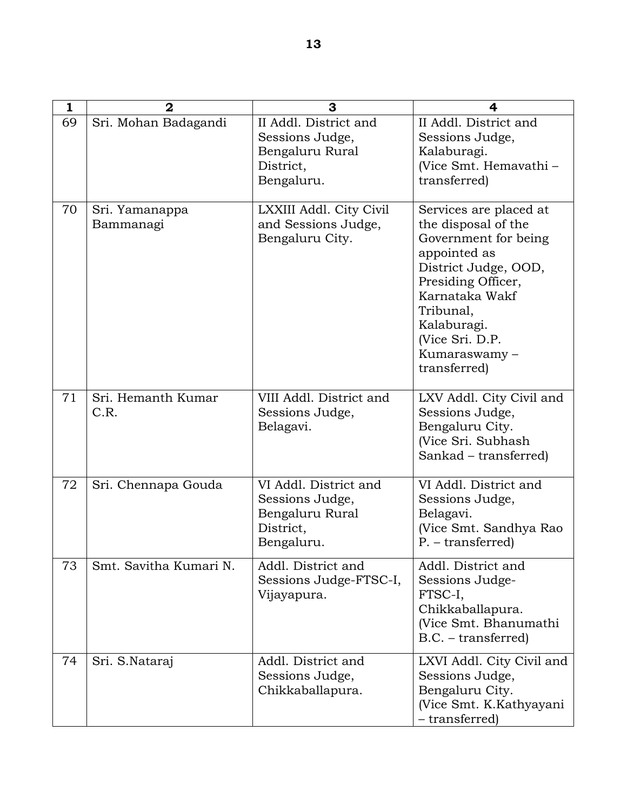| 1  | $\mathbf 2$                 | 3                                                                                      | 4                                                                                                                                                                                                                                    |
|----|-----------------------------|----------------------------------------------------------------------------------------|--------------------------------------------------------------------------------------------------------------------------------------------------------------------------------------------------------------------------------------|
| 69 | Sri. Mohan Badagandi        | II Addl. District and<br>Sessions Judge,<br>Bengaluru Rural<br>District,<br>Bengaluru. | II Addl. District and<br>Sessions Judge,<br>Kalaburagi.<br>(Vice Smt. Hemavathi -<br>transferred)                                                                                                                                    |
| 70 | Sri. Yamanappa<br>Bammanagi | LXXIII Addl. City Civil<br>and Sessions Judge,<br>Bengaluru City.                      | Services are placed at<br>the disposal of the<br>Government for being<br>appointed as<br>District Judge, OOD,<br>Presiding Officer,<br>Karnataka Wakf<br>Tribunal,<br>Kalaburagi.<br>(Vice Sri. D.P.<br>Kumaraswamy-<br>transferred) |
| 71 | Sri. Hemanth Kumar<br>C.R.  | VIII Addl. District and<br>Sessions Judge,<br>Belagavi.                                | LXV Addl. City Civil and<br>Sessions Judge,<br>Bengaluru City.<br>(Vice Sri. Subhash<br>Sankad – transferred)                                                                                                                        |
| 72 | Sri. Chennapa Gouda         | VI Addl. District and<br>Sessions Judge,<br>Bengaluru Rural<br>District,<br>Bengaluru. | VI Addl. District and<br>Sessions Judge,<br>Belagavi.<br>(Vice Smt. Sandhya Rao<br>$P. - transferred)$                                                                                                                               |
| 73 | Smt. Savitha Kumari N.      | Addl. District and<br>Sessions Judge-FTSC-I,<br>Vijayapura.                            | Addl. District and<br>Sessions Judge-<br>FTSC-I,<br>Chikkaballapura.<br>(Vice Smt. Bhanumathi<br>$B.C. - transferred)$                                                                                                               |
| 74 | Sri. S.Nataraj              | Addl. District and<br>Sessions Judge,<br>Chikkaballapura.                              | LXVI Addl. City Civil and<br>Sessions Judge,<br>Bengaluru City.<br>(Vice Smt. K.Kathyayani<br>- transferred)                                                                                                                         |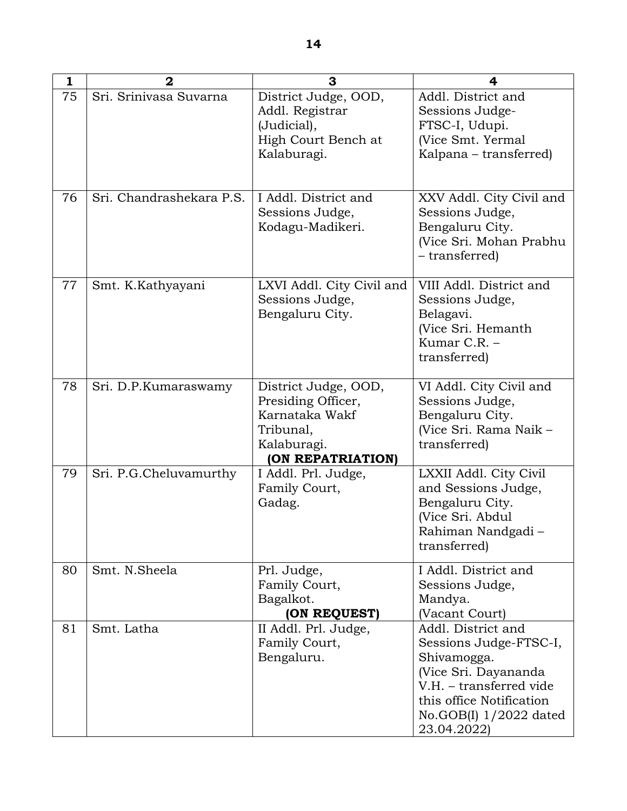| 1  | $\mathbf 2$              | 3                                                                                                             | 4                                                                                                                                                                                      |
|----|--------------------------|---------------------------------------------------------------------------------------------------------------|----------------------------------------------------------------------------------------------------------------------------------------------------------------------------------------|
| 75 | Sri. Srinivasa Suvarna   | District Judge, OOD,<br>Addl. Registrar<br>(Judicial),<br>High Court Bench at<br>Kalaburagi.                  | Addl. District and<br>Sessions Judge-<br>FTSC-I, Udupi.<br>(Vice Smt. Yermal<br>Kalpana – transferred)                                                                                 |
| 76 | Sri. Chandrashekara P.S. | I Addl. District and<br>Sessions Judge,<br>Kodagu-Madikeri.                                                   | XXV Addl. City Civil and<br>Sessions Judge,<br>Bengaluru City.<br>(Vice Sri. Mohan Prabhu<br>- transferred)                                                                            |
| 77 | Smt. K.Kathyayani        | LXVI Addl. City Civil and<br>Sessions Judge,<br>Bengaluru City.                                               | VIII Addl. District and<br>Sessions Judge,<br>Belagavi.<br>(Vice Sri. Hemanth<br>Kumar C.R. -<br>transferred)                                                                          |
| 78 | Sri. D.P.Kumaraswamy     | District Judge, OOD,<br>Presiding Officer,<br>Karnataka Wakf<br>Tribunal,<br>Kalaburagi.<br>(ON REPATRIATION) | VI Addl. City Civil and<br>Sessions Judge,<br>Bengaluru City.<br>(Vice Sri. Rama Naik -<br>transferred)                                                                                |
| 79 | Sri. P.G.Cheluvamurthy   | I Addl. Prl. Judge,<br>Family Court,<br>Gadag.                                                                | LXXII Addl. City Civil<br>and Sessions Judge,<br>Bengaluru City.<br>(Vice Sri. Abdul<br>Rahiman Nandgadi<br>transferred)                                                               |
| 80 | Smt. N.Sheela            | Prl. Judge,<br>Family Court,<br>Bagalkot.<br>(ON REQUEST)                                                     | I Addl. District and<br>Sessions Judge,<br>Mandya.<br>(Vacant Court)                                                                                                                   |
| 81 | Smt. Latha               | II Addl. Prl. Judge,<br>Family Court,<br>Bengaluru.                                                           | Addl. District and<br>Sessions Judge-FTSC-I,<br>Shivamogga.<br>(Vice Sri. Dayananda<br>V.H. - transferred vide<br>this office Notification<br>No.GOB $(I)$ 1/2022 dated<br>23.04.2022) |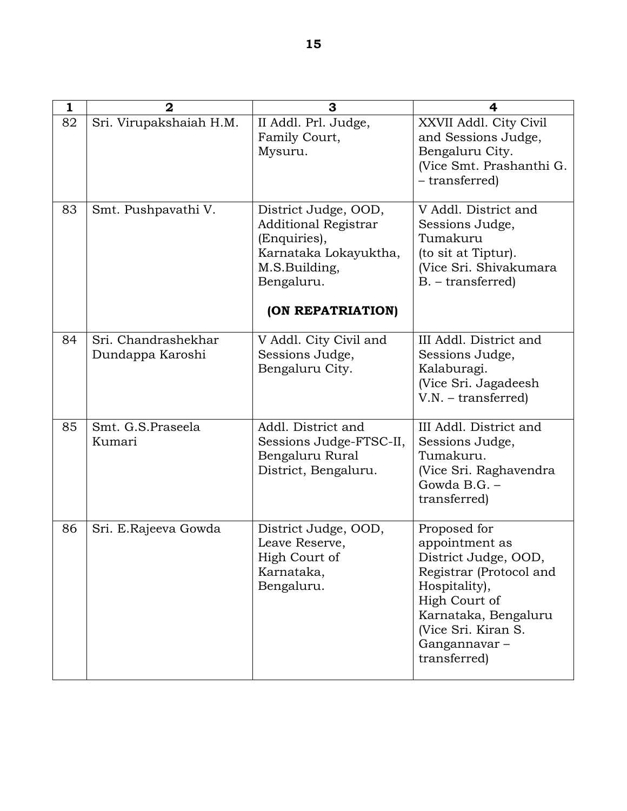| 1  | $\overline{2}$                          | 3                                                                                                                           | 4                                                                                                                                                                                                  |
|----|-----------------------------------------|-----------------------------------------------------------------------------------------------------------------------------|----------------------------------------------------------------------------------------------------------------------------------------------------------------------------------------------------|
| 82 | Sri. Virupakshaiah H.M.                 | II Addl. Prl. Judge,<br>Family Court,<br>Mysuru.                                                                            | XXVII Addl. City Civil<br>and Sessions Judge,<br>Bengaluru City.<br>(Vice Smt. Prashanthi G.<br>- transferred)                                                                                     |
| 83 | Smt. Pushpavathi V.                     | District Judge, OOD,<br><b>Additional Registrar</b><br>(Enquiries),<br>Karnataka Lokayuktha,<br>M.S.Building,<br>Bengaluru. | V Addl. District and<br>Sessions Judge,<br>Tumakuru<br>(to sit at Tiptur).<br>(Vice Sri. Shivakumara<br>B. – transferred)                                                                          |
|    |                                         | (ON REPATRIATION)                                                                                                           |                                                                                                                                                                                                    |
| 84 | Sri. Chandrashekhar<br>Dundappa Karoshi | V Addl. City Civil and<br>Sessions Judge,<br>Bengaluru City.                                                                | III Addl. District and<br>Sessions Judge,<br>Kalaburagi.<br>(Vice Sri. Jagadeesh<br>$V.N. - transferred)$                                                                                          |
| 85 | Smt. G.S.Praseela<br>Kumari             | Addl. District and<br>Sessions Judge-FTSC-II,<br>Bengaluru Rural<br>District, Bengaluru.                                    | III Addl. District and<br>Sessions Judge,<br>Tumakuru.<br>(Vice Sri. Raghavendra<br>Gowda B.G. -<br>transferred)                                                                                   |
| 86 | Sri. E.Rajeeva Gowda                    | District Judge, OOD,<br>Leave Reserve,<br>High Court of<br>Karnataka,<br>Bengaluru.                                         | Proposed for<br>appointment as<br>District Judge, OOD,<br>Registrar (Protocol and<br>Hospitality),<br>High Court of<br>Karnataka, Bengaluru<br>(Vice Sri. Kiran S.<br>Gangannavar-<br>transferred) |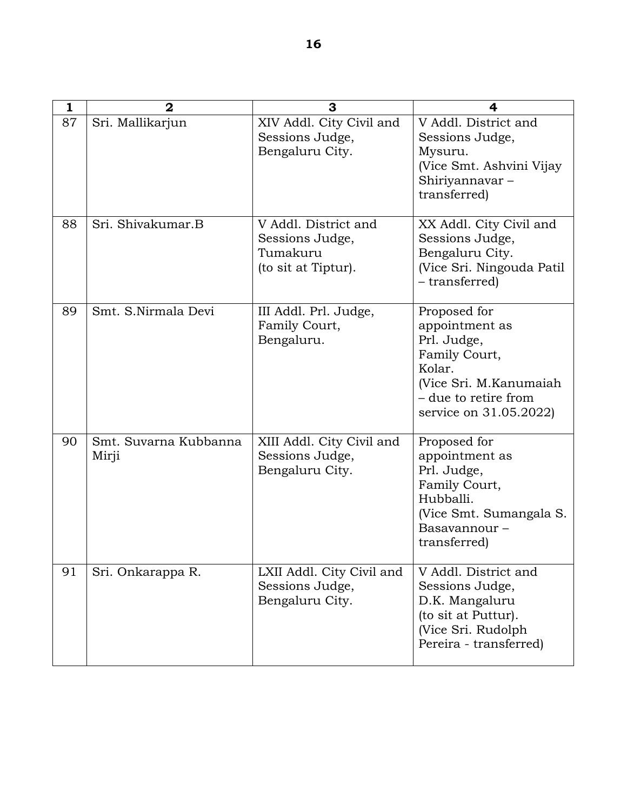| 1  | $\overline{2}$                 | 3                                                                          | 4                                                                                                                                                     |
|----|--------------------------------|----------------------------------------------------------------------------|-------------------------------------------------------------------------------------------------------------------------------------------------------|
| 87 | Sri. Mallikarjun               | XIV Addl. City Civil and<br>Sessions Judge,<br>Bengaluru City.             | V Addl. District and<br>Sessions Judge,<br>Mysuru.<br>(Vice Smt. Ashvini Vijay<br>Shiriyannavar-<br>transferred)                                      |
| 88 | Sri. Shivakumar.B              | V Addl. District and<br>Sessions Judge,<br>Tumakuru<br>(to sit at Tiptur). | XX Addl. City Civil and<br>Sessions Judge,<br>Bengaluru City.<br>(Vice Sri. Ningouda Patil<br>- transferred)                                          |
| 89 | Smt. S.Nirmala Devi            | III Addl. Prl. Judge,<br>Family Court,<br>Bengaluru.                       | Proposed for<br>appointment as<br>Prl. Judge,<br>Family Court,<br>Kolar.<br>(Vice Sri. M. Kanumaiah<br>- due to retire from<br>service on 31.05.2022) |
| 90 | Smt. Suvarna Kubbanna<br>Mirji | XIII Addl. City Civil and<br>Sessions Judge,<br>Bengaluru City.            | Proposed for<br>appointment as<br>Prl. Judge,<br>Family Court,<br>Hubballi.<br>(Vice Smt. Sumangala S.<br>Basavannour-<br>transferred)                |
| 91 | Sri. Onkarappa R.              | LXII Addl. City Civil and<br>Sessions Judge,<br>Bengaluru City.            | V Addl. District and<br>Sessions Judge,<br>D.K. Mangaluru<br>(to sit at Puttur).<br>(Vice Sri. Rudolph)<br>Pereira - transferred)                     |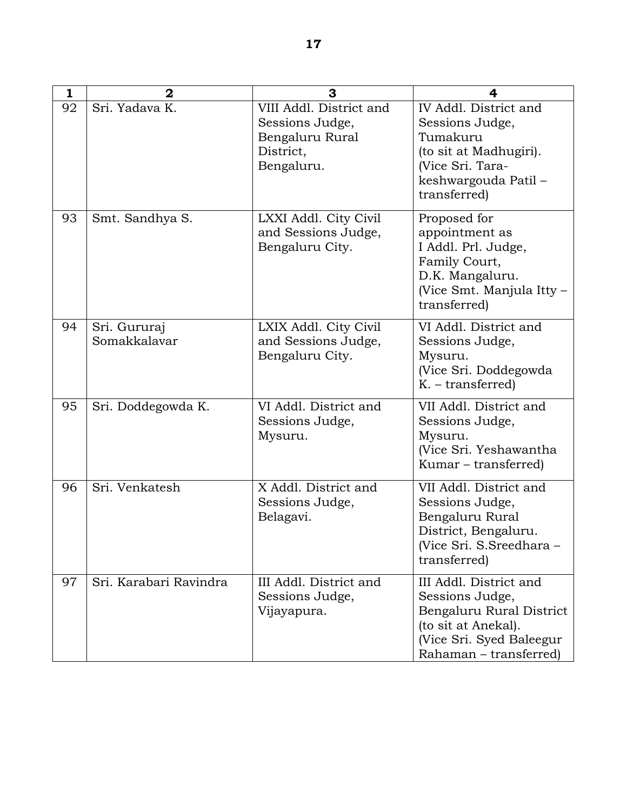| 1  | $\overline{\mathbf{2}}$      | 3                                                                                        | 4                                                                                                                                                  |
|----|------------------------------|------------------------------------------------------------------------------------------|----------------------------------------------------------------------------------------------------------------------------------------------------|
| 92 | Sri. Yadava K.               | VIII Addl. District and<br>Sessions Judge,<br>Bengaluru Rural<br>District,<br>Bengaluru. | IV Addl. District and<br>Sessions Judge,<br>Tumakuru<br>(to sit at Madhugiri).<br>(Vice Sri. Tara-<br>keshwargouda Patil -<br>transferred)         |
| 93 | Smt. Sandhya S.              | LXXI Addl. City Civil<br>and Sessions Judge,<br>Bengaluru City.                          | Proposed for<br>appointment as<br>I Addl. Prl. Judge,<br>Family Court,<br>D.K. Mangaluru.<br>(Vice Smt. Manjula Itty -<br>transferred)             |
| 94 | Sri. Gururaj<br>Somakkalavar | LXIX Addl. City Civil<br>and Sessions Judge,<br>Bengaluru City.                          | VI Addl. District and<br>Sessions Judge,<br>Mysuru.<br>(Vice Sri. Doddegowda<br>$K.$ – transferred)                                                |
| 95 | Sri. Doddegowda K.           | VI Addl. District and<br>Sessions Judge,<br>Mysuru.                                      | VII Addl. District and<br>Sessions Judge,<br>Mysuru.<br>(Vice Sri. Yeshawantha<br>Kumar – transferred)                                             |
| 96 | Sri. Venkatesh               | X Addl. District and<br>Sessions Judge,<br>Belagavi.                                     | VII Addl. District and<br>Sessions Judge,<br>Bengaluru Rural<br>District, Bengaluru.<br>(Vice Sri. S.Sreedhara -<br>transferred)                   |
| 97 | Sri. Karabari Ravindra       | III Addl. District and<br>Sessions Judge,<br>Vijayapura.                                 | III Addl. District and<br>Sessions Judge,<br>Bengaluru Rural District<br>(to sit at Anekal).<br>(Vice Sri. Syed Baleegur<br>Rahaman – transferred) |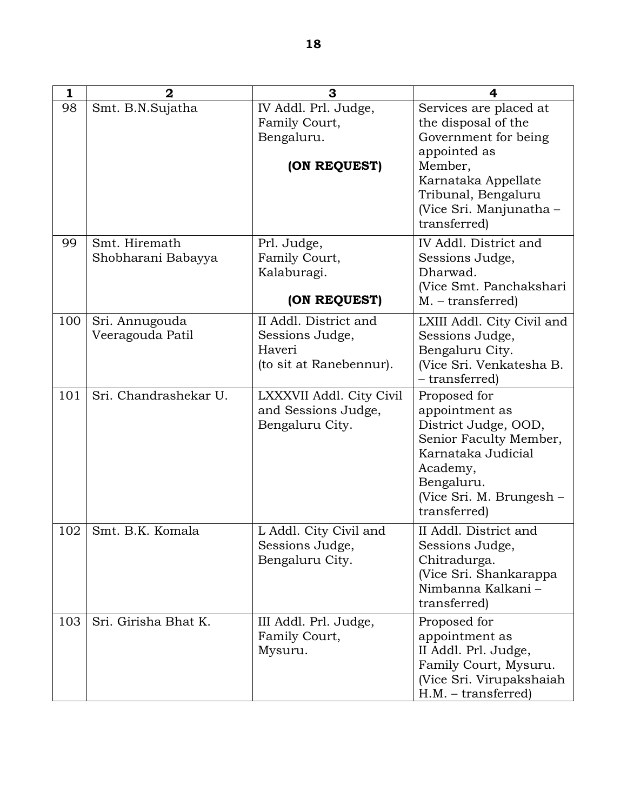| 1   | $\overline{2}$                      | 3                                                                             | 4                                                                                                                                                                                         |
|-----|-------------------------------------|-------------------------------------------------------------------------------|-------------------------------------------------------------------------------------------------------------------------------------------------------------------------------------------|
| 98  | Smt. B.N.Sujatha                    | IV Addl. Prl. Judge,<br>Family Court,<br>Bengaluru.<br>(ON REQUEST)           | Services are placed at<br>the disposal of the<br>Government for being<br>appointed as<br>Member,<br>Karnataka Appellate<br>Tribunal, Bengaluru<br>(Vice Sri. Manjunatha -<br>transferred) |
| 99  | Smt. Hiremath<br>Shobharani Babayya | Prl. Judge,<br>Family Court,<br>Kalaburagi.<br>(ON REQUEST)                   | IV Addl. District and<br>Sessions Judge,<br>Dharwad.<br>(Vice Smt. Panchakshari<br>$M. - transferred)$                                                                                    |
| 100 | Sri. Annugouda<br>Veeragouda Patil  | II Addl. District and<br>Sessions Judge,<br>Haveri<br>(to sit at Ranebennur). | LXIII Addl. City Civil and<br>Sessions Judge,<br>Bengaluru City.<br>(Vice Sri. Venkatesha B.<br>- transferred)                                                                            |
| 101 | Sri. Chandrashekar U.               | LXXXVII Addl. City Civil<br>and Sessions Judge,<br>Bengaluru City.            | Proposed for<br>appointment as<br>District Judge, OOD,<br>Senior Faculty Member,<br>Karnataka Judicial<br>Academy,<br>Bengaluru.<br>(Vice Sri. M. Brungesh –<br>transferred)              |
| 102 | Smt. B.K. Komala                    | L Addl. City Civil and<br>Sessions Judge,<br>Bengaluru City.                  | II Addl. District and<br>Sessions Judge,<br>Chitradurga.<br>(Vice Sri. Shankarappa<br>Nimbanna Kalkani -<br>transferred)                                                                  |
| 103 | Sri. Girisha Bhat K.                | III Addl. Prl. Judge,<br>Family Court,<br>Mysuru.                             | Proposed for<br>appointment as<br>II Addl. Prl. Judge,<br>Family Court, Mysuru.<br>(Vice Sri. Virupakshaiah<br>$H.M. - transferred)$                                                      |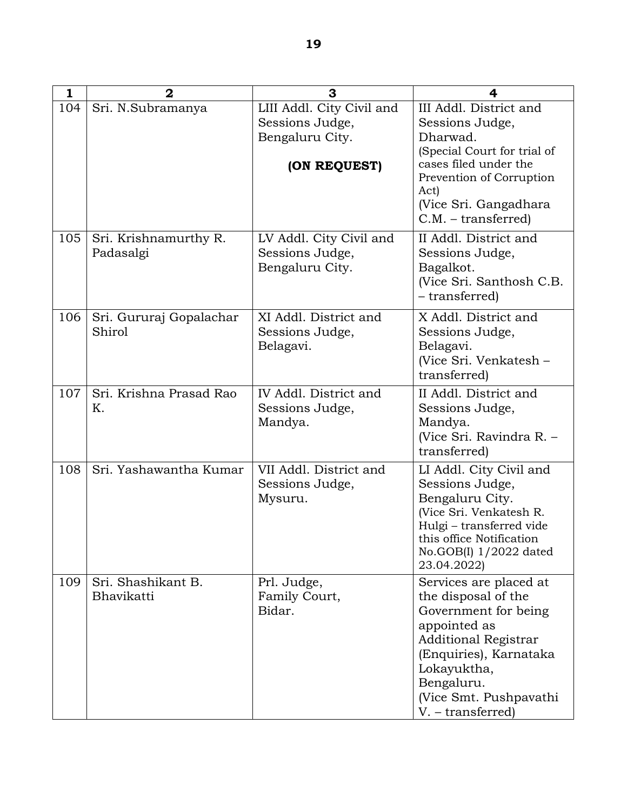| $\mathbf{1}$ | $\mathbf{2}$                       | 3                                                               | 4                                                                                                                                                                                                                          |
|--------------|------------------------------------|-----------------------------------------------------------------|----------------------------------------------------------------------------------------------------------------------------------------------------------------------------------------------------------------------------|
| 104          | Sri. N.Subramanya                  | LIII Addl. City Civil and<br>Sessions Judge,<br>Bengaluru City. | III Addl. District and<br>Sessions Judge,<br>Dharwad.                                                                                                                                                                      |
|              |                                    | (ON REQUEST)                                                    | (Special Court for trial of<br>cases filed under the<br>Prevention of Corruption<br>Act)<br>(Vice Sri. Gangadhara<br>$C.M. - transferred)$                                                                                 |
| 105          | Sri. Krishnamurthy R.<br>Padasalgi | LV Addl. City Civil and<br>Sessions Judge,<br>Bengaluru City.   | II Addl. District and<br>Sessions Judge,<br>Bagalkot.<br>(Vice Sri. Santhosh C.B.<br>- transferred)                                                                                                                        |
| 106          | Sri. Gururaj Gopalachar<br>Shirol  | XI Addl. District and<br>Sessions Judge,<br>Belagavi.           | X Addl. District and<br>Sessions Judge,<br>Belagavi.<br>(Vice Sri. Venkatesh -<br>transferred)                                                                                                                             |
| 107          | Sri. Krishna Prasad Rao<br>Κ.      | IV Addl. District and<br>Sessions Judge,<br>Mandya.             | II Addl. District and<br>Sessions Judge,<br>Mandya.<br>(Vice Sri. Ravindra R. -<br>transferred)                                                                                                                            |
| 108          | Sri. Yashawantha Kumar             | VII Addl. District and<br>Sessions Judge,<br>Mysuru.            | LI Addl. City Civil and<br>Sessions Judge,<br>Bengaluru City.<br>(Vice Sri. Venkatesh R.<br>Hulgi - transferred vide<br>this office Notification<br>No.GOB $(I)$ 1/2022 dated<br>23.04.2022)                               |
| 109          | Sri. Shashikant B.<br>Bhavikatti   | Prl. Judge,<br>Family Court,<br>Bidar.                          | Services are placed at<br>the disposal of the<br>Government for being<br>appointed as<br><b>Additional Registrar</b><br>(Enquiries), Karnataka<br>Lokayuktha,<br>Bengaluru.<br>(Vice Smt. Pushpavathi<br>V. – transferred) |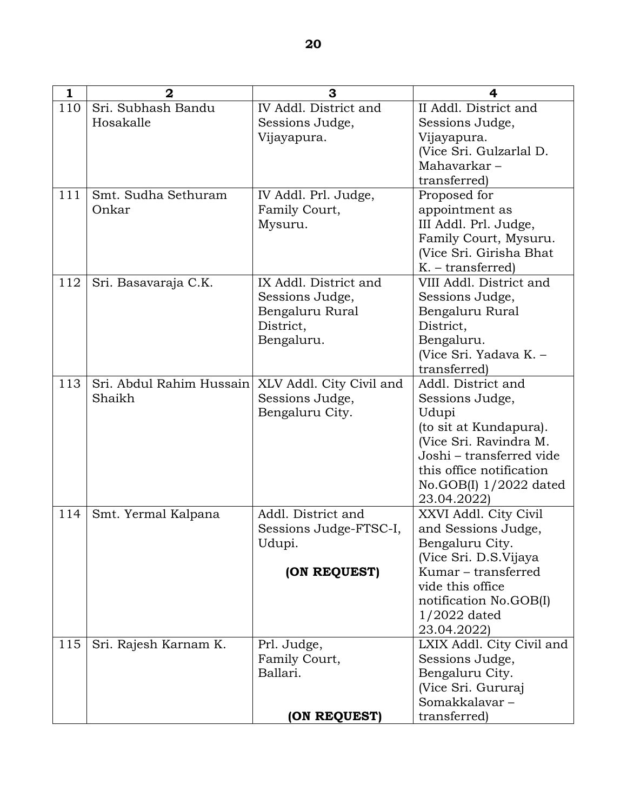| $\mathbf{1}$ | $\overline{2}$           | 3                        | 4                                                  |
|--------------|--------------------------|--------------------------|----------------------------------------------------|
| 110          | Sri. Subhash Bandu       | IV Addl. District and    | II Addl. District and                              |
|              | Hosakalle                | Sessions Judge,          | Sessions Judge,                                    |
|              |                          | Vijayapura.              | Vijayapura.                                        |
|              |                          |                          | (Vice Sri. Gulzarlal D.                            |
|              |                          |                          | Mahavarkar-                                        |
|              |                          |                          | transferred)                                       |
| 111          | Smt. Sudha Sethuram      | IV Addl. Prl. Judge,     | Proposed for                                       |
|              | Onkar                    | Family Court,            | appointment as                                     |
|              |                          | Mysuru.                  | III Addl. Prl. Judge,                              |
|              |                          |                          | Family Court, Mysuru.                              |
|              |                          |                          | (Vice Sri. Girisha Bhat)                           |
|              |                          |                          | $K. - transferred)$                                |
| 112          | Sri. Basavaraja C.K.     | IX Addl. District and    | VIII Addl. District and                            |
|              |                          | Sessions Judge,          | Sessions Judge,                                    |
|              |                          | Bengaluru Rural          | Bengaluru Rural                                    |
|              |                          | District,                | District.                                          |
|              |                          | Bengaluru.               | Bengaluru.                                         |
|              |                          |                          | (Vice Sri. Yadava K. -                             |
|              |                          |                          | transferred)                                       |
| 113          | Sri. Abdul Rahim Hussain | XLV Addl. City Civil and | Addl. District and                                 |
|              | Shaikh                   | Sessions Judge,          | Sessions Judge,                                    |
|              |                          | Bengaluru City.          | Udupi                                              |
|              |                          |                          | (to sit at Kundapura).                             |
|              |                          |                          | (Vice Sri. Ravindra M.<br>Joshi - transferred vide |
|              |                          |                          | this office notification                           |
|              |                          |                          |                                                    |
|              |                          |                          | $No.GOB(I)$ 1/2022 dated<br>23.04.2022)            |
| 114          | Smt. Yermal Kalpana      | Addl. District and       | XXVI Addl. City Civil                              |
|              |                          | Sessions Judge-FTSC-I,   | and Sessions Judge,                                |
|              |                          | Udupi.                   | Bengaluru City.                                    |
|              |                          |                          | (Vice Sri. D.S.Vijaya                              |
|              |                          | (ON REQUEST)             | Kumar – transferred                                |
|              |                          |                          | vide this office                                   |
|              |                          |                          | notification No.GOB(I)                             |
|              |                          |                          | $1/2022$ dated                                     |
|              |                          |                          | 23.04.2022)                                        |
| 115          | Sri. Rajesh Karnam K.    | Prl. Judge,              | LXIX Addl. City Civil and                          |
|              |                          | Family Court,            | Sessions Judge,                                    |
|              |                          | Ballari.                 | Bengaluru City.                                    |
|              |                          |                          | (Vice Sri. Gururaj                                 |
|              |                          |                          | Somakkalavar-                                      |
|              |                          | (ON REQUEST)             | transferred)                                       |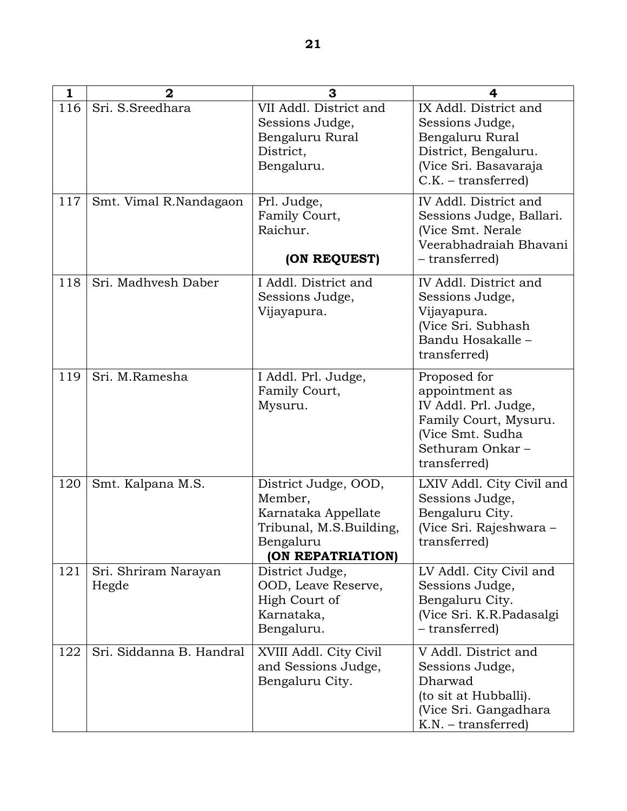| 1   | $\overline{2}$                | 3                                                                                                                   | 4                                                                                                                                      |
|-----|-------------------------------|---------------------------------------------------------------------------------------------------------------------|----------------------------------------------------------------------------------------------------------------------------------------|
| 116 | Sri. S.Sreedhara              | VII Addl. District and<br>Sessions Judge,<br>Bengaluru Rural<br>District,<br>Bengaluru.                             | IX Addl. District and<br>Sessions Judge,<br>Bengaluru Rural<br>District, Bengaluru.<br>(Vice Sri. Basavaraja<br>$C.K. - transferred)$  |
| 117 | Smt. Vimal R.Nandagaon        | Prl. Judge,<br>Family Court,<br>Raichur.<br>(ON REQUEST)                                                            | IV Addl. District and<br>Sessions Judge, Ballari.<br>(Vice Smt. Nerale)<br>Veerabhadraiah Bhavani<br>- transferred)                    |
| 118 | Sri. Madhvesh Daber           | I Addl. District and<br>Sessions Judge,<br>Vijayapura.                                                              | IV Addl. District and<br>Sessions Judge,<br>Vijayapura.<br>(Vice Sri. Subhash<br>Bandu Hosakalle-<br>transferred)                      |
| 119 | Sri. M.Ramesha                | I Addl. Prl. Judge,<br>Family Court,<br>Mysuru.                                                                     | Proposed for<br>appointment as<br>IV Addl. Prl. Judge,<br>Family Court, Mysuru.<br>(Vice Smt. Sudha<br>Sethuram Onkar-<br>transferred) |
| 120 | Smt. Kalpana M.S.             | District Judge, OOD,<br>Member,<br>Karnataka Appellate<br>Tribunal, M.S.Building,<br>Bengaluru<br>(ON REPATRIATION) | LXIV Addl. City Civil and<br>Sessions Judge,<br>Bengaluru City.<br>(Vice Sri. Rajeshwara -<br>transferred)                             |
| 121 | Sri. Shriram Narayan<br>Hegde | District Judge,<br>OOD, Leave Reserve,<br>High Court of<br>Karnataka,<br>Bengaluru.                                 | LV Addl. City Civil and<br>Sessions Judge,<br>Bengaluru City.<br>(Vice Sri. K.R.Padasalgi<br>- transferred)                            |
| 122 | Sri. Siddanna B. Handral      | XVIII Addl. City Civil<br>and Sessions Judge,<br>Bengaluru City.                                                    | V Addl. District and<br>Sessions Judge,<br>Dharwad<br>(to sit at Hubballi).<br>(Vice Sri. Gangadhara<br>$K.N. - transferred)$          |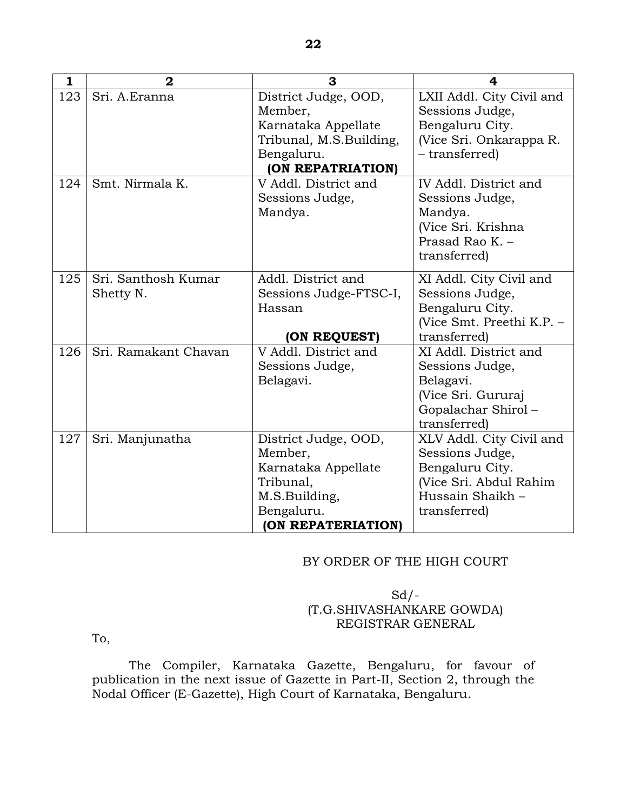| 1   | $\mathbf{2}$                     | 3                                                                                                  | 4                                                                                                                            |
|-----|----------------------------------|----------------------------------------------------------------------------------------------------|------------------------------------------------------------------------------------------------------------------------------|
| 123 | Sri. A.Eranna                    | District Judge, OOD,<br>Member,<br>Karnataka Appellate                                             | LXII Addl. City Civil and<br>Sessions Judge,<br>Bengaluru City.                                                              |
|     |                                  | Tribunal, M.S.Building,<br>Bengaluru.                                                              | (Vice Sri. Onkarappa R.<br>- transferred)                                                                                    |
|     |                                  | (ON REPATRIATION)                                                                                  |                                                                                                                              |
| 124 | Smt. Nirmala K.                  | V Addl. District and<br>Sessions Judge,<br>Mandya.                                                 | IV Addl. District and<br>Sessions Judge,<br>Mandya.<br>(Vice Sri. Krishna<br>Prasad Rao K. -<br>transferred)                 |
| 125 | Sri. Santhosh Kumar<br>Shetty N. | Addl. District and<br>Sessions Judge-FTSC-I,<br>Hassan                                             | XI Addl. City Civil and<br>Sessions Judge,<br>Bengaluru City.                                                                |
|     |                                  | (ON REQUEST)                                                                                       | (Vice Smt. Preethi K.P. -<br>transferred)                                                                                    |
| 126 | Sri. Ramakant Chavan             | V Addl. District and<br>Sessions Judge,<br>Belagavi.                                               | XI Addl. District and<br>Sessions Judge,<br>Belagavi.<br>(Vice Sri. Gururaj<br>Gopalachar Shirol-<br>transferred)            |
| 127 | Sri. Manjunatha                  | District Judge, OOD,<br>Member,<br>Karnataka Appellate<br>Tribunal,<br>M.S.Building,<br>Bengaluru. | XLV Addl. City Civil and<br>Sessions Judge,<br>Bengaluru City.<br>(Vice Sri. Abdul Rahim<br>Hussain Shaikh -<br>transferred) |
|     |                                  | (ON REPATERIATION)                                                                                 |                                                                                                                              |

### BY ORDER OF THE HIGH COURT

# $Sd$  /-(T.G.SHIVASHANKARE GOWDA) REGISTRAR GENERAL

To,

 The Compiler, Karnataka Gazette, Bengaluru, for favour of publication in the next issue of Gazette in Part-II, Section 2, through the Nodal Officer (E-Gazette), High Court of Karnataka, Bengaluru.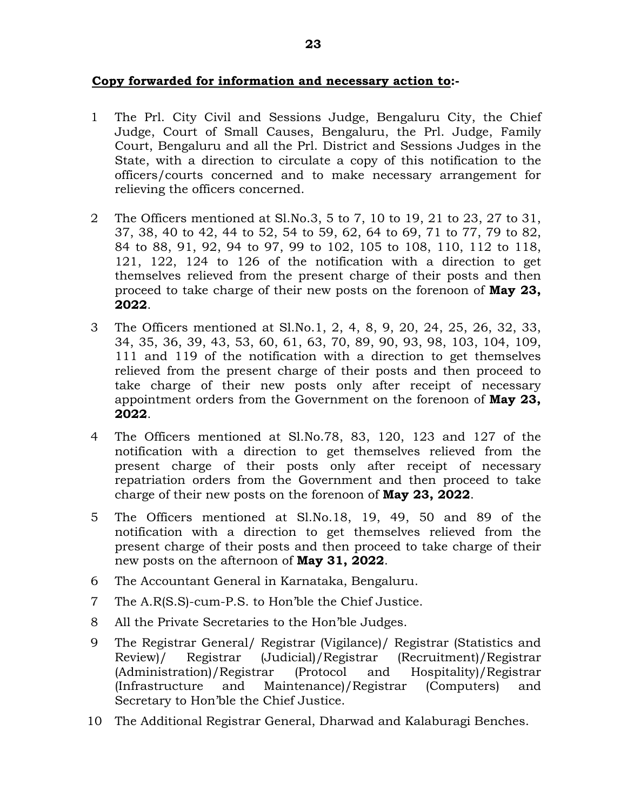- 1 The Prl. City Civil and Sessions Judge, Bengaluru City, the Chief Judge, Court of Small Causes, Bengaluru, the Prl. Judge, Family Court, Bengaluru and all the Prl. District and Sessions Judges in the State, with a direction to circulate a copy of this notification to the officers/courts concerned and to make necessary arrangement for relieving the officers concerned.
- 2 The Officers mentioned at Sl.No.3, 5 to 7, 10 to 19, 21 to 23, 27 to 31, 37, 38, 40 to 42, 44 to 52, 54 to 59, 62, 64 to 69, 71 to 77, 79 to 82, 84 to 88, 91, 92, 94 to 97, 99 to 102, 105 to 108, 110, 112 to 118, 121, 122, 124 to 126 of the notification with a direction to get themselves relieved from the present charge of their posts and then proceed to take charge of their new posts on the forenoon of **May 23, 2022**.
- 3 The Officers mentioned at Sl.No.1, 2, 4, 8, 9, 20, 24, 25, 26, 32, 33, 34, 35, 36, 39, 43, 53, 60, 61, 63, 70, 89, 90, 93, 98, 103, 104, 109, 111 and 119 of the notification with a direction to get themselves relieved from the present charge of their posts and then proceed to take charge of their new posts only after receipt of necessary appointment orders from the Government on the forenoon of **May 23, 2022**.
- 4 The Officers mentioned at Sl.No.78, 83, 120, 123 and 127 of the notification with a direction to get themselves relieved from the present charge of their posts only after receipt of necessary repatriation orders from the Government and then proceed to take charge of their new posts on the forenoon of **May 23, 2022**.
- 5 The Officers mentioned at Sl.No.18, 19, 49, 50 and 89 of the notification with a direction to get themselves relieved from the present charge of their posts and then proceed to take charge of their new posts on the afternoon of **May 31, 2022**.
- 6 The Accountant General in Karnataka, Bengaluru.
- 7 The A.R(S.S)-cum-P.S. to Hon'ble the Chief Justice.
- 8 All the Private Secretaries to the Hon'ble Judges.
- 9 The Registrar General/ Registrar (Vigilance)/ Registrar (Statistics and Review)/ Registrar (Judicial)/Registrar (Recruitment)/Registrar (Administration)/Registrar (Protocol and Hospitality)/Registrar (Infrastructure and Maintenance)/Registrar (Computers) and Secretary to Hon'ble the Chief Justice.
- 10 The Additional Registrar General, Dharwad and Kalaburagi Benches.